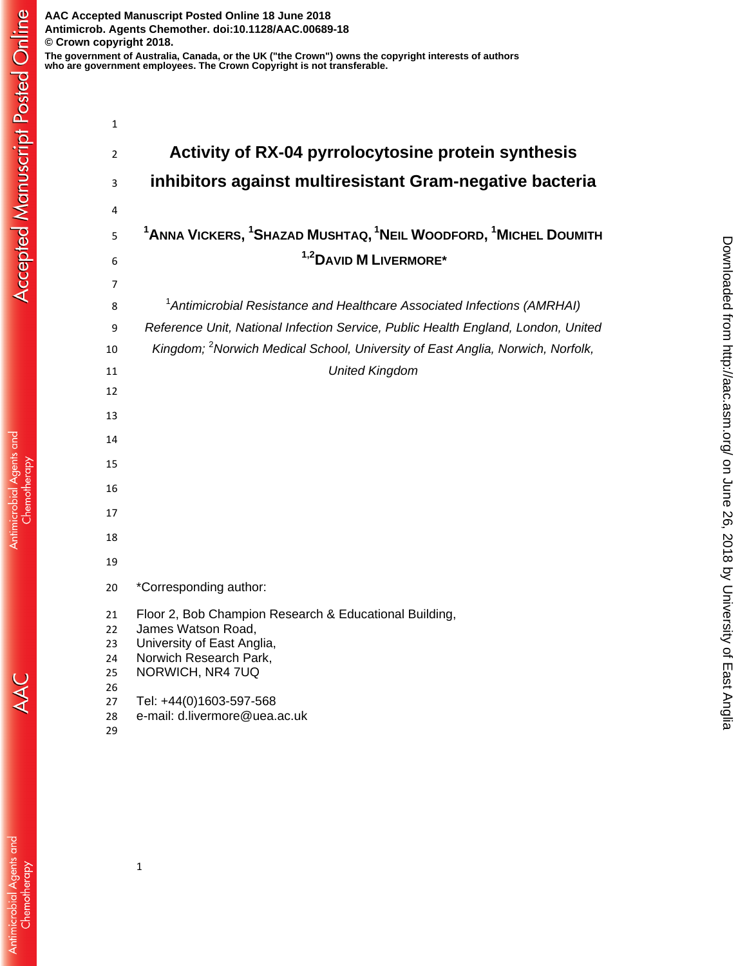| $\mathbf{1}$   |                                                                                            |
|----------------|--------------------------------------------------------------------------------------------|
| $\overline{2}$ | Activity of RX-04 pyrrolocytosine protein synthesis                                        |
| 3              | inhibitors against multiresistant Gram-negative bacteria                                   |
| 4              |                                                                                            |
| 5              | $1$ Anna Vickers, $1$ Shazad Mushtaq, $1$ Neil Woodford, $1$ Michel Doumith                |
| 6              | <sup>1,2</sup> DAVID <b>M</b> LIVERMORE*                                                   |
| 7              |                                                                                            |
| 8              | <sup>1</sup> Antimicrobial Resistance and Healthcare Associated Infections (AMRHAI)        |
| 9              | Reference Unit, National Infection Service, Public Health England, London, United          |
| 10             | Kingdom; <sup>2</sup> Norwich Medical School, University of East Anglia, Norwich, Norfolk, |
| 11             | <b>United Kingdom</b>                                                                      |
| 12             |                                                                                            |
| 13             |                                                                                            |
| 14             |                                                                                            |
| 15             |                                                                                            |
| 16             |                                                                                            |
| 17             |                                                                                            |
| 18             |                                                                                            |
| 19             |                                                                                            |
| 20             | *Corresponding author:                                                                     |
| 21             | Floor 2, Bob Champion Research & Educational Building,                                     |
| 22             | James Watson Road,                                                                         |
| 23<br>24       | University of East Anglia,<br>Norwich Research Park,                                       |
| 25             | NORWICH, NR4 7UQ                                                                           |
| 26             |                                                                                            |
| 27             | Tel: +44(0)1603-597-568                                                                    |
| 28             | e-mail: d.livermore@uea.ac.uk                                                              |
| 29             |                                                                                            |

AAC

Antimicrobial Agents and<br>Chemotherapy

**Accepted Manuscript Posted Online**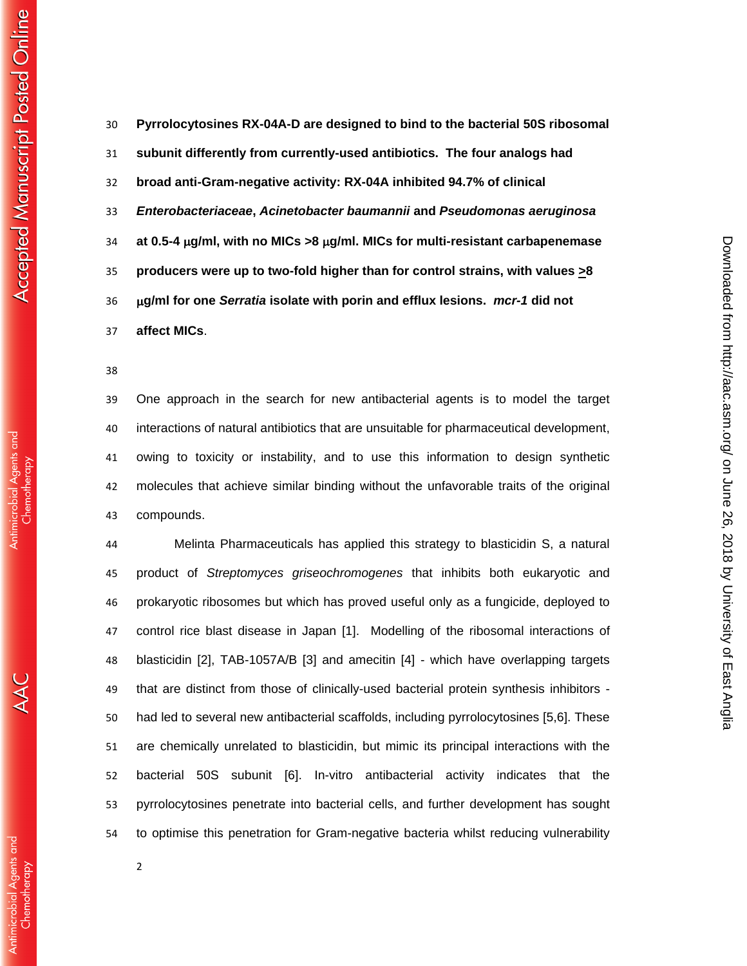Antimicrobial Agents and Chemotherapy

 **Pyrrolocytosines RX-04A-D are designed to bind to the bacterial 50S ribosomal subunit differently from currently-used antibiotics. The four analogs had broad anti-Gram-negative activity: RX-04A inhibited 94.7% of clinical**  *Enterobacteriaceae***,** *Acinetobacter baumannii* **and** *Pseudomonas aeruginosa* **at 0.5-4 g/ml, with no MICs >8 g/ml. MICs for multi-resistant carbapenemase producers were up to two-fold higher than for control strains, with values >8 g/ml for one** *Serratia* **isolate with porin and efflux lesions.** *mcr-1* **did not affect MICs**.

 One approach in the search for new antibacterial agents is to model the target interactions of natural antibiotics that are unsuitable for pharmaceutical development, owing to toxicity or instability, and to use this information to design synthetic molecules that achieve similar binding without the unfavorable traits of the original compounds.

 Melinta Pharmaceuticals has applied this strategy to blasticidin S, a natural product of *Streptomyces griseochromogenes* that inhibits both eukaryotic and prokaryotic ribosomes but which has proved useful only as a fungicide, deployed to control rice blast disease in Japan [1]. Modelling of the ribosomal interactions of blasticidin [2], TAB-1057A/B [3] and amecitin [4] - which have overlapping targets that are distinct from those of clinically-used bacterial protein synthesis inhibitors - had led to several new antibacterial scaffolds, including pyrrolocytosines [5,6]. These are chemically unrelated to blasticidin, but mimic its principal interactions with the bacterial 50S subunit [6]. In-vitro antibacterial activity indicates that the pyrrolocytosines penetrate into bacterial cells, and further development has sought to optimise this penetration for Gram-negative bacteria whilst reducing vulnerability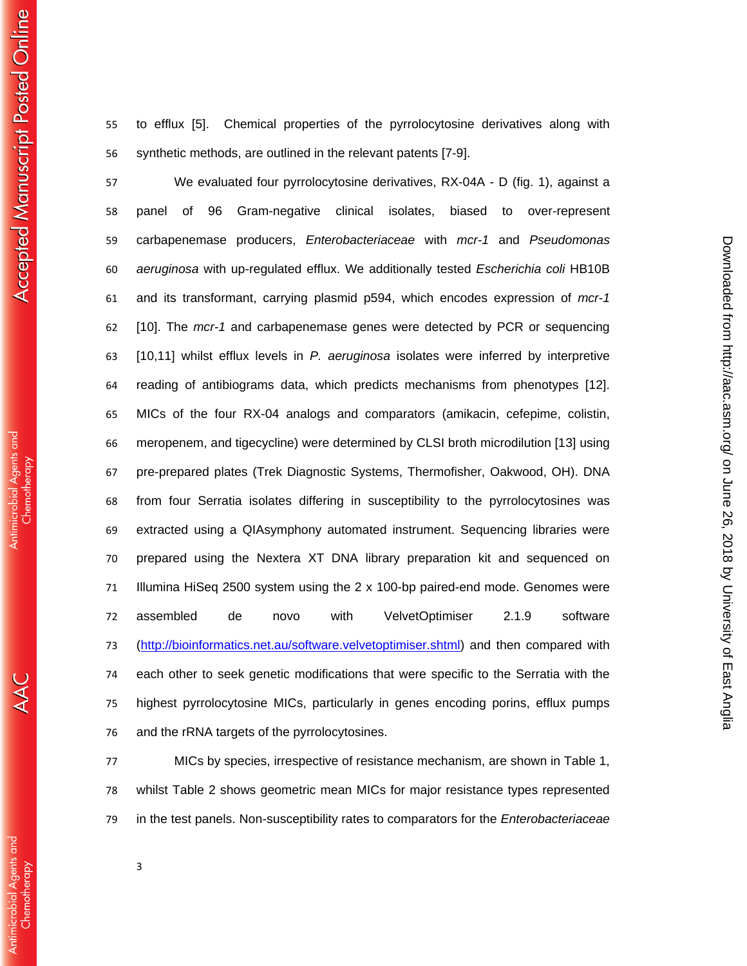to efflux [5]. Chemical properties of the pyrrolocytosine derivatives along with synthetic methods, are outlined in the relevant patents [7-9].

 We evaluated four pyrrolocytosine derivatives, RX-04A - D (fig. 1), against a panel of 96 Gram-negative clinical isolates, biased to over-represent carbapenemase producers, *Enterobacteriaceae* with *mcr-1* and *Pseudomonas aeruginosa* with up-regulated efflux. We additionally tested *Escherichia coli* HB10B and its transformant, carrying plasmid p594, which encodes expression of *mcr-1* [10]. The *mcr-1* and carbapenemase genes were detected by PCR or sequencing [10,11] whilst efflux levels in *P. aeruginosa* isolates were inferred by interpretive reading of antibiograms data, which predicts mechanisms from phenotypes [12]. MICs of the four RX-04 analogs and comparators (amikacin, cefepime, colistin, meropenem, and tigecycline) were determined by CLSI broth microdilution [13] using pre-prepared plates (Trek Diagnostic Systems, Thermofisher, Oakwood, OH). DNA from four Serratia isolates differing in susceptibility to the pyrrolocytosines was extracted using a QIAsymphony automated instrument. Sequencing libraries were prepared using the Nextera XT DNA library preparation kit and sequenced on Illumina HiSeq 2500 system using the 2 x 100-bp paired-end mode. Genomes were assembled de novo with VelvetOptimiser 2.1.9 software (http://bioinformatics.net.au/software.velvetoptimiser.shtml) and then compared with each other to seek genetic modifications that were specific to the Serratia with the highest pyrrolocytosine MICs, particularly in genes encoding porins, efflux pumps and the rRNA targets of the pyrrolocytosines.

on June 26, 2018 by University of East Anglia <http://aac.asm.org/> Downloaded from

Downloaded from http://aac.asm.org/ on June 26, 2018 by University of East Anglia

 MICs by species, irrespective of resistance mechanism, are shown in Table 1, whilst Table 2 shows geometric mean MICs for major resistance types represented in the test panels. Non-susceptibility rates to comparators for the *Enterobacteriaceae*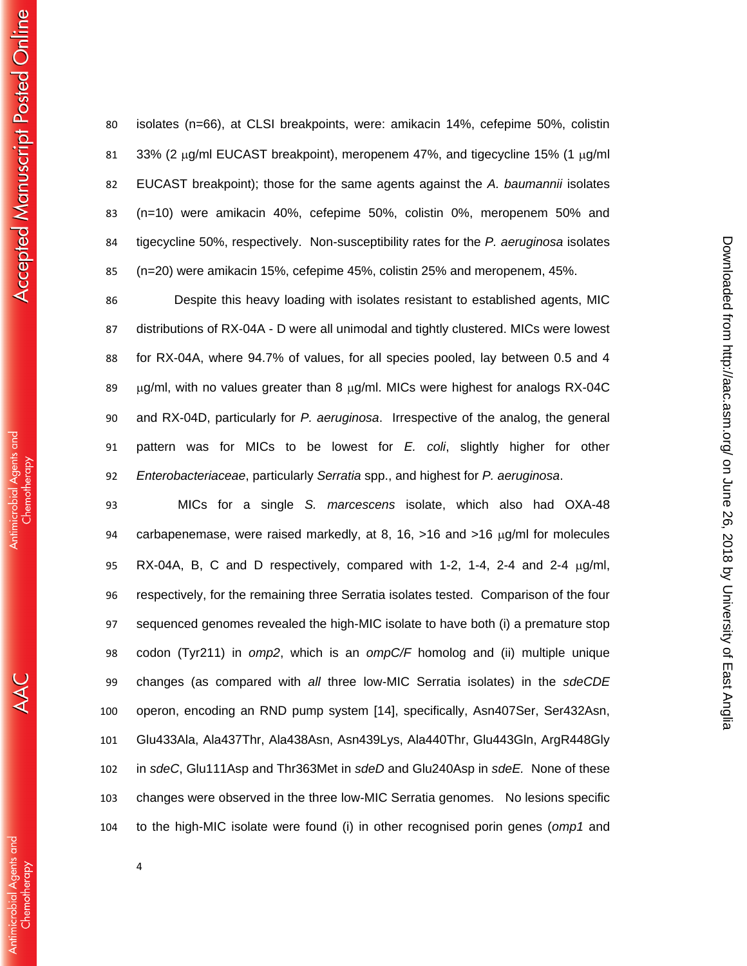isolates (n=66), at CLSI breakpoints, were: amikacin 14%, cefepime 50%, colistin 81 33% (2  $\mu$ g/ml EUCAST breakpoint), meropenem 47%, and tigecycline 15% (1  $\mu$ g/ml EUCAST breakpoint); those for the same agents against the *A. baumannii* isolates (n=10) were amikacin 40%, cefepime 50%, colistin 0%, meropenem 50% and tigecycline 50%, respectively. Non-susceptibility rates for the *P. aeruginosa* isolates (n=20) were amikacin 15%, cefepime 45%, colistin 25% and meropenem, 45%.

 Despite this heavy loading with isolates resistant to established agents, MIC distributions of RX-04A - D were all unimodal and tightly clustered. MICs were lowest for RX-04A, where 94.7% of values, for all species pooled, lay between 0.5 and 4  $\mu$ g/ml, with no values greater than 8  $\mu$ g/ml. MICs were highest for analogs RX-04C and RX-04D, particularly for *P. aeruginosa*. Irrespective of the analog, the general pattern was for MICs to be lowest for *E. coli*, slightly higher for other *Enterobacteriaceae*, particularly *Serratia* spp., and highest for *P. aeruginosa*.

on June 26, 2018 by University of East Anglia <http://aac.asm.org/> Downloaded from

Downloaded from http://aac.asm.org/ on June 26, 2018 by University of East Anglia

 MICs for a single *S. marcescens* isolate, which also had OXA-48 94 carbapenemase, were raised markedly, at 8, 16,  $>16$  and  $>16 \mu g/ml$  for molecules 95 RX-04A, B, C and D respectively, compared with 1-2, 1-4, 2-4 and 2-4  $\mu$ g/ml, respectively, for the remaining three Serratia isolates tested. Comparison of the four sequenced genomes revealed the high-MIC isolate to have both (i) a premature stop codon (Tyr211) in *omp2*, which is an *ompC/F* homolog and (ii) multiple unique changes (as compared with *all* three low-MIC Serratia isolates) in the *sdeCDE* operon, encoding an RND pump system [14], specifically, Asn407Ser, Ser432Asn, Glu433Ala, Ala437Thr, Ala438Asn, Asn439Lys, Ala440Thr, Glu443Gln, ArgR448Gly in *sdeC*, Glu111Asp and Thr363Met in *sdeD* and Glu240Asp in *sdeE.* None of these changes were observed in the three low-MIC Serratia genomes. No lesions specific to the high-MIC isolate were found (i) in other recognised porin genes (*omp1* and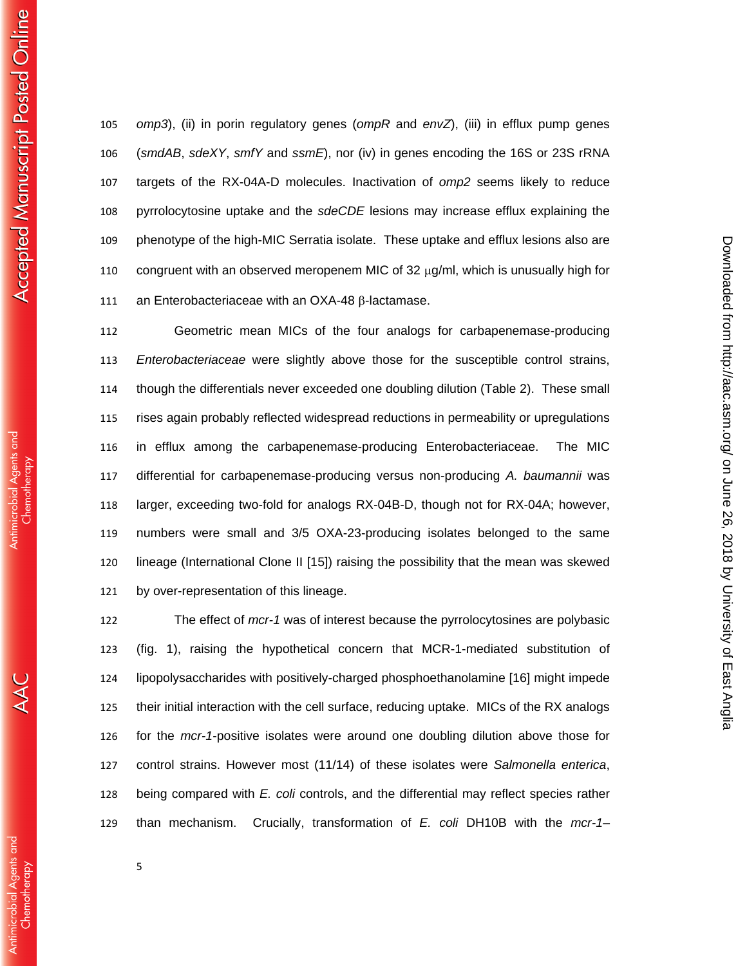**Accepted Manuscript Posted Online** 

**Antimicrobial Agents and** Chemotherapy

**Antimicrobial Agents and** Chemothergpy

 *omp3*), (ii) in porin regulatory genes (*ompR* and *envZ*), (iii) in efflux pump genes (*smdAB*, *sdeXY*, *smfY* and *ssmE*), nor (iv) in genes encoding the 16S or 23S rRNA targets of the RX-04A-D molecules. Inactivation of *omp2* seems likely to reduce pyrrolocytosine uptake and the *sdeCDE* lesions may increase efflux explaining the phenotype of the high-MIC Serratia isolate. These uptake and efflux lesions also are 110 congruent with an observed meropenem MIC of 32  $\mu q/ml$ , which is unusually high for 111 an Enterobacteriaceae with an OXA-48  $\beta$ -lactamase.

 Geometric mean MICs of the four analogs for carbapenemase-producing *Enterobacteriaceae* were slightly above those for the susceptible control strains, though the differentials never exceeded one doubling dilution (Table 2). These small rises again probably reflected widespread reductions in permeability or upregulations in efflux among the carbapenemase-producing Enterobacteriaceae. The MIC differential for carbapenemase-producing versus non-producing *A. baumannii* was larger, exceeding two-fold for analogs RX-04B-D, though not for RX-04A; however, numbers were small and 3/5 OXA-23-producing isolates belonged to the same lineage (International Clone II [15]) raising the possibility that the mean was skewed by over-representation of this lineage.

 The effect of *mcr-1* was of interest because the pyrrolocytosines are polybasic (fig. 1), raising the hypothetical concern that MCR-1-mediated substitution of lipopolysaccharides with positively-charged phosphoethanolamine [16] might impede their initial interaction with the cell surface, reducing uptake. MICs of the RX analogs for the *mcr-1*-positive isolates were around one doubling dilution above those for control strains. However most (11/14) of these isolates were *Salmonella enterica*, being compared with *E. coli* controls, and the differential may reflect species rather than mechanism. Crucially, transformation of *E. coli* DH10B with the *mcr-1*–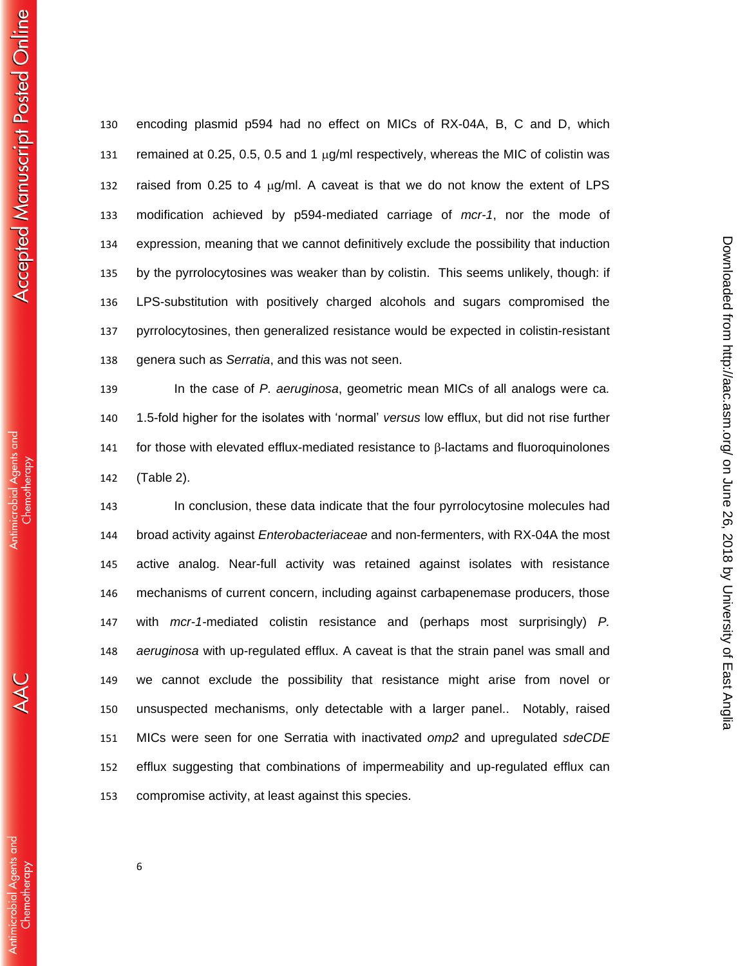**Antimicrobial Agents and** Chemotherapy

 encoding plasmid p594 had no effect on MICs of RX-04A, B, C and D, which 131 remained at 0.25, 0.5, 0.5 and 1  $\mu$ g/ml respectively, whereas the MIC of colistin was 132 raised from 0.25 to 4  $\mu$ g/ml. A caveat is that we do not know the extent of LPS modification achieved by p594-mediated carriage of *mcr-1*, nor the mode of expression, meaning that we cannot definitively exclude the possibility that induction by the pyrrolocytosines was weaker than by colistin. This seems unlikely, though: if LPS-substitution with positively charged alcohols and sugars compromised the pyrrolocytosines, then generalized resistance would be expected in colistin-resistant genera such as *Serratia*, and this was not seen.

 In the case of *P. aeruginosa*, geometric mean MICs of all analogs were ca*.*  1.5-fold higher for the isolates with 'normal' *versus* low efflux, but did not rise further 141 for those with elevated efflux-mediated resistance to  $\beta$ -lactams and fluoroquinolones (Table 2).

 In conclusion, these data indicate that the four pyrrolocytosine molecules had broad activity against *Enterobacteriaceae* and non-fermenters, with RX-04A the most active analog. Near-full activity was retained against isolates with resistance mechanisms of current concern, including against carbapenemase producers, those with *mcr-1-*mediated colistin resistance and (perhaps most surprisingly) *P. aeruginosa* with up-regulated efflux. A caveat is that the strain panel was small and we cannot exclude the possibility that resistance might arise from novel or unsuspected mechanisms, only detectable with a larger panel.. Notably, raised MICs were seen for one Serratia with inactivated *omp2* and upregulated *sdeCDE* efflux suggesting that combinations of impermeability and up-regulated efflux can compromise activity, at least against this species.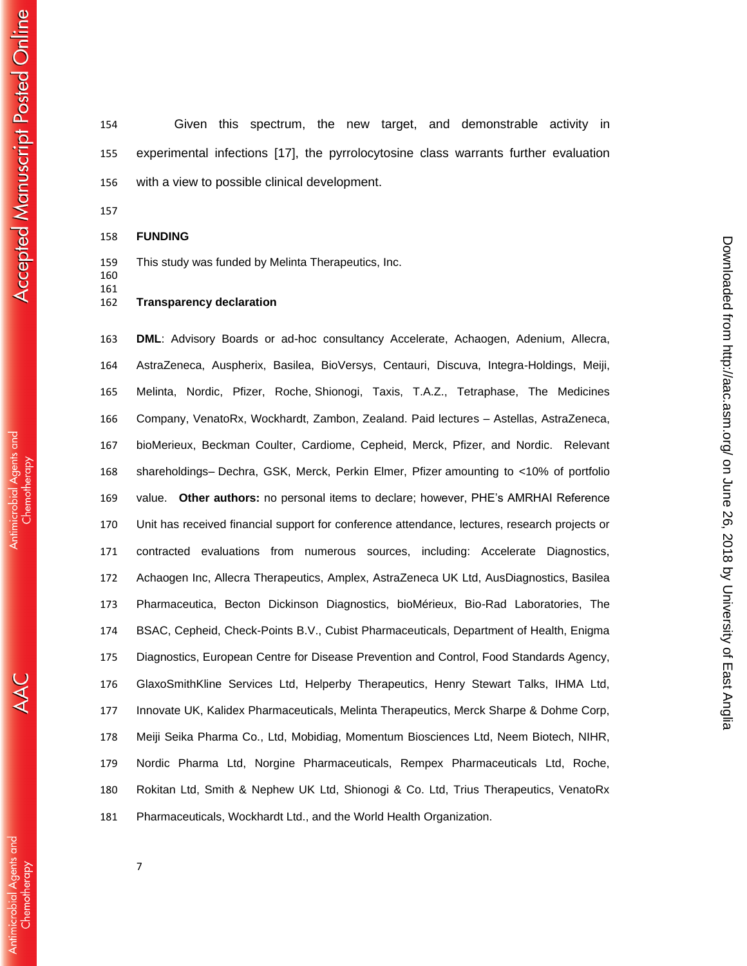Given this spectrum, the new target, and demonstrable activity in experimental infections [17], the pyrrolocytosine class warrants further evaluation with a view to possible clinical development.

**FUNDING**

This study was funded by Melinta Therapeutics, Inc.

 

### **Transparency declaration**

 **DML**: Advisory Boards or ad-hoc consultancy Accelerate, Achaogen, Adenium, Allecra, AstraZeneca, Auspherix, Basilea, BioVersys, Centauri, Discuva, Integra-Holdings, Meiji, Melinta, Nordic, Pfizer, Roche, Shionogi, Taxis, T.A.Z., Tetraphase, The Medicines Company, VenatoRx, Wockhardt, Zambon, Zealand. Paid lectures – Astellas, AstraZeneca, bioMerieux, Beckman Coulter, Cardiome, Cepheid, Merck, Pfizer, and Nordic. Relevant shareholdings– Dechra, GSK, Merck, Perkin Elmer, Pfizer amounting to <10% of portfolio value. **Other authors:** no personal items to declare; however, PHE's AMRHAI Reference Unit has received financial support for conference attendance, lectures, research projects or contracted evaluations from numerous sources, including: Accelerate Diagnostics, Achaogen Inc, Allecra Therapeutics, Amplex, AstraZeneca UK Ltd, AusDiagnostics, Basilea Pharmaceutica, Becton Dickinson Diagnostics, bioMérieux, Bio-Rad Laboratories, The BSAC, Cepheid, Check-Points B.V., Cubist Pharmaceuticals, Department of Health, Enigma Diagnostics, European Centre for Disease Prevention and Control, Food Standards Agency, GlaxoSmithKline Services Ltd, Helperby Therapeutics, Henry Stewart Talks, IHMA Ltd, Innovate UK, Kalidex Pharmaceuticals, Melinta Therapeutics, Merck Sharpe & Dohme Corp, Meiji Seika Pharma Co., Ltd, Mobidiag, Momentum Biosciences Ltd, Neem Biotech, NIHR, Nordic Pharma Ltd, Norgine Pharmaceuticals, Rempex Pharmaceuticals Ltd, Roche, Rokitan Ltd, Smith & Nephew UK Ltd, Shionogi & Co. Ltd, Trius Therapeutics, VenatoRx Pharmaceuticals, Wockhardt Ltd., and the World Health Organization.

**Antimicrobial Agents and** Chemotherapy

**Antimicrobial Agents and**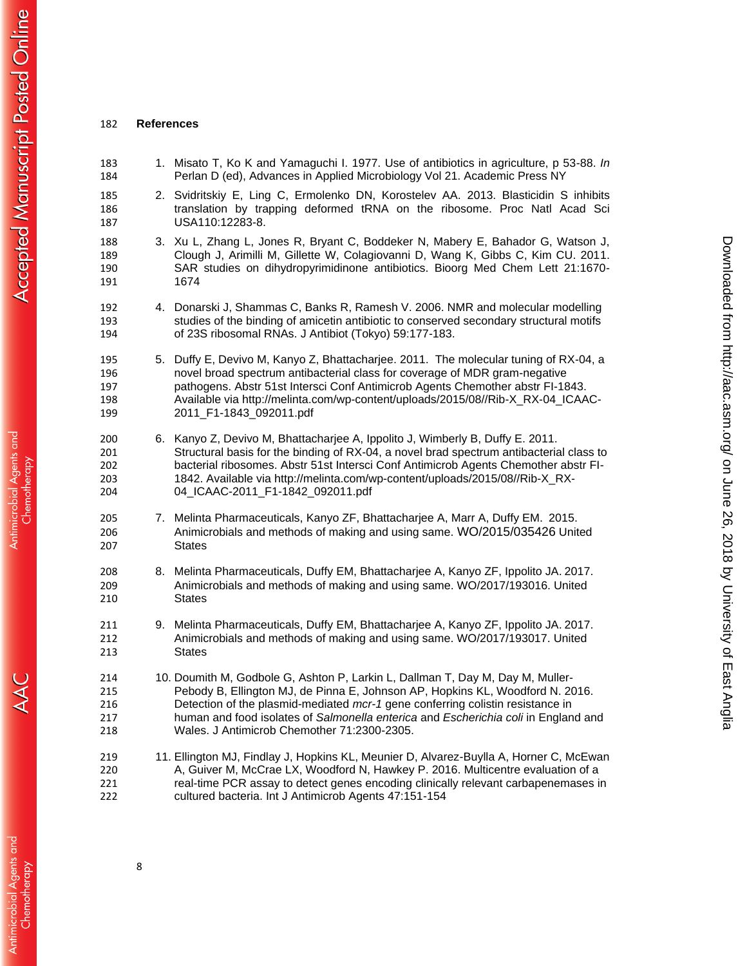#### **References**

- 1. Misato T, Ko K and Yamaguchi I. 1977. Use of antibiotics in agriculture, p 53-88. *In* Perlan D (ed), Advances in Applied Microbiology Vol 21. Academic Press NY
- 2. Svidritskiy E, Ling C, Ermolenko DN, Korostelev AA. 2013. Blasticidin S inhibits translation by trapping deformed tRNA on the ribosome. Proc Natl Acad Sci USA110:12283-8.
- 3. Xu L, Zhang L, Jones R, Bryant C, Boddeker N, Mabery E, Bahador G, Watson J, Clough J, Arimilli M, Gillette W, Colagiovanni D, Wang K, Gibbs C, Kim CU. 2011. SAR studies on dihydropyrimidinone antibiotics. Bioorg Med Chem Lett 21:1670- 1674
- 4. Donarski J, Shammas C, Banks R, Ramesh V. 2006. NMR and molecular modelling 193 studies of the binding of amicetin antibiotic to conserved secondary structural motifs<br>194 of 23S ribosomal RNAs. J Antibiot (Tokyo) 59:177-183. of 23S ribosomal RNAs. J Antibiot (Tokyo) 59:177-183.
- 5. Duffy E, Devivo M, Kanyo Z, Bhattacharjee. 2011. The molecular tuning of RX-04, a novel broad spectrum antibacterial class for coverage of MDR gram-negative pathogens. Abstr 51st Intersci Conf Antimicrob Agents Chemother abstr FI-1843. Available via http://melinta.com/wp-content/uploads/2015/08//Rib-X\_RX-04\_ICAAC-2011\_F1-1843\_092011.pdf
- 6. Kanyo Z, Devivo M, Bhattacharjee A, Ippolito J, Wimberly B, Duffy E. 2011. Structural basis for the binding of RX-04, a novel brad spectrum antibacterial class to bacterial ribosomes. Abstr 51st Intersci Conf Antimicrob Agents Chemother abstr FI- 1842. Available via http://melinta.com/wp-content/uploads/2015/08//Rib-X\_RX-04\_ICAAC-2011\_F1-1842\_092011.pdf
- 7. Melinta Pharmaceuticals, Kanyo ZF, Bhattacharjee A, Marr A, Duffy EM. 2015. Animicrobials and methods of making and using same. WO/2015/035426 United States
- 8. Melinta Pharmaceuticals, Duffy EM, Bhattacharjee A, Kanyo ZF, Ippolito JA. 2017. Animicrobials and methods of making and using same. WO/2017/193016. United States
- 9. Melinta Pharmaceuticals, Duffy EM, Bhattacharjee A, Kanyo ZF, Ippolito JA. 2017. Animicrobials and methods of making and using same. WO/2017/193017. United States
- 10. Doumith M, Godbole G, Ashton P, Larkin L, Dallman T, Day M, Day M, Muller- Pebody B, Ellington MJ, de Pinna E, Johnson AP, Hopkins KL, Woodford N. 2016. Detection of the plasmid-mediated *mcr-1* gene conferring colistin resistance in human and food isolates of *Salmonella enterica* and *Escherichia coli* in England and Wales. J Antimicrob Chemother 71:2300-2305.
- 11. Ellington MJ, Findlay J, Hopkins KL, Meunier D, Alvarez-Buylla A, Horner C, McEwan A, Guiver M, McCrae LX, Woodford N, Hawkey P. 2016. Multicentre evaluation of a 221 real-time PCR assay to detect genes encoding clinically relevant carbapenemases in cultured bacteria. Int J Antimicrob Agents 47:151-154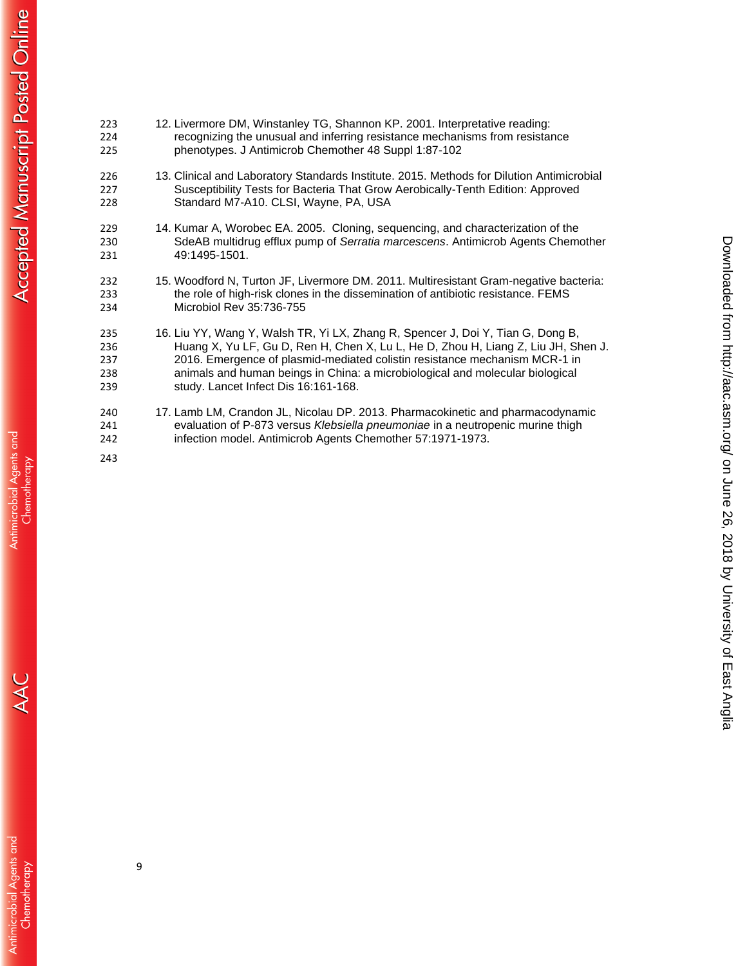| 223                      | 12. Livermore DM, Winstanley TG, Shannon KP. 2001. Interpretative reading:                                                                                                                                                     |
|--------------------------|--------------------------------------------------------------------------------------------------------------------------------------------------------------------------------------------------------------------------------|
| 224                      | recognizing the unusual and inferring resistance mechanisms from resistance                                                                                                                                                    |
| 225                      | phenotypes. J Antimicrob Chemother 48 Suppl 1:87-102                                                                                                                                                                           |
| 226                      | 13. Clinical and Laboratory Standards Institute. 2015. Methods for Dilution Antimicrobial                                                                                                                                      |
| 227                      | Susceptibility Tests for Bacteria That Grow Aerobically-Tenth Edition: Approved                                                                                                                                                |
| 228                      | Standard M7-A10. CLSI, Wayne, PA, USA                                                                                                                                                                                          |
| 229                      | 14. Kumar A, Worobec EA. 2005. Cloning, sequencing, and characterization of the                                                                                                                                                |
| 230                      | SdeAB multidrug efflux pump of Serratia marcescens. Antimicrob Agents Chemother                                                                                                                                                |
| 231                      | 49:1495-1501.                                                                                                                                                                                                                  |
| 232                      | 15. Woodford N, Turton JF, Livermore DM. 2011. Multiresistant Gram-negative bacteria:                                                                                                                                          |
| 233                      | the role of high-risk clones in the dissemination of antibiotic resistance. FEMS                                                                                                                                               |
| 234                      | Microbiol Rev 35:736-755                                                                                                                                                                                                       |
| 235                      | 16. Liu YY, Wang Y, Walsh TR, Yi LX, Zhang R, Spencer J, Doi Y, Tian G, Dong B,                                                                                                                                                |
| 236                      | Huang X, Yu LF, Gu D, Ren H, Chen X, Lu L, He D, Zhou H, Liang Z, Liu JH, Shen J.                                                                                                                                              |
| 237                      | 2016. Emergence of plasmid-mediated colistin resistance mechanism MCR-1 in                                                                                                                                                     |
| 238                      | animals and human beings in China: a microbiological and molecular biological                                                                                                                                                  |
| 239                      | study. Lancet Infect Dis 16:161-168.                                                                                                                                                                                           |
| 240<br>241<br>242<br>243 | 17. Lamb LM, Crandon JL, Nicolau DP. 2013. Pharmacokinetic and pharmacodynamic<br>evaluation of P-873 versus Klebsiella pneumoniae in a neutropenic murine thigh<br>infection model. Antimicrob Agents Chemother 57:1971-1973. |

on June 26, 2018 by University of East Anglia <http://aac.asm.org/> Downloaded from

Downloaded from http://aac.asm.org/ on June 26, 2018 by University of East Anglia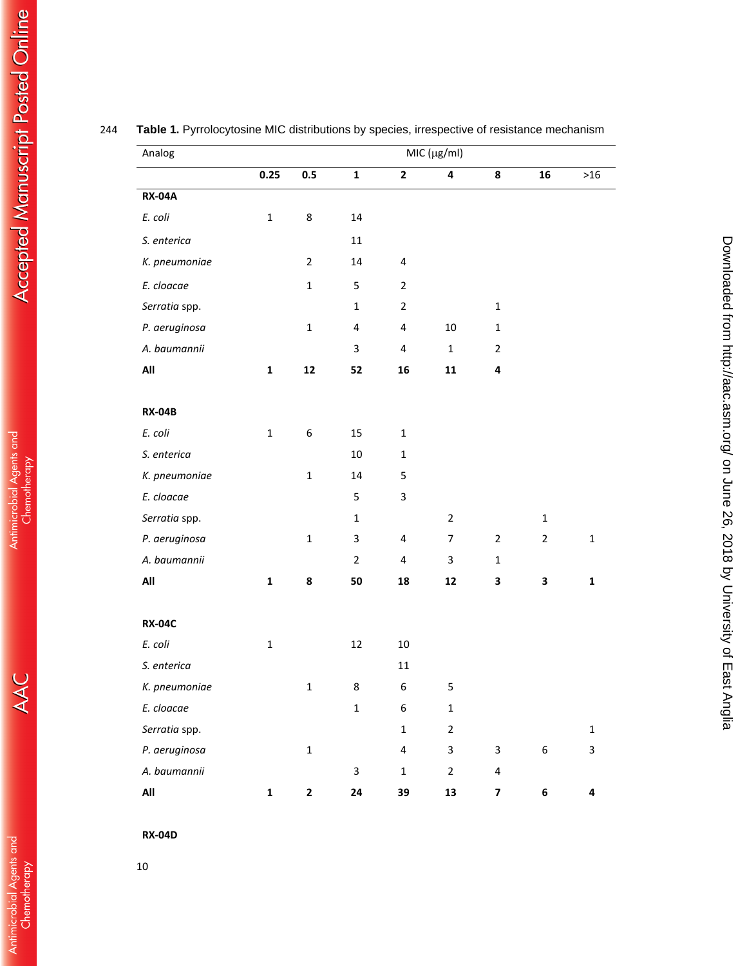| Analog         | MIC (µg/ml)  |                  |                         |                         |                  |                         |                  |              |
|----------------|--------------|------------------|-------------------------|-------------------------|------------------|-------------------------|------------------|--------------|
|                | 0.25         | 0.5              | $\mathbf{1}$            | $\mathbf{2}$            | 4                | 8                       | 16               | $>16$        |
| <b>RX-04A</b>  |              |                  |                         |                         |                  |                         |                  |              |
| E. coli        | $\mathbf 1$  | 8                | 14                      |                         |                  |                         |                  |              |
| S. enterica    |              |                  | $11\,$                  |                         |                  |                         |                  |              |
| K. pneumoniae  |              | $\overline{2}$   | 14                      | $\pmb{4}$               |                  |                         |                  |              |
| E. cloacae     |              | $\mathbf 1$      | 5                       | $\overline{2}$          |                  |                         |                  |              |
| Serratia spp.  |              |                  | $\mathbf{1}$            | $\overline{2}$          |                  | $\mathbf 1$             |                  |              |
| P. aeruginosa  |              | $\mathbf 1$      | $\overline{\mathbf{4}}$ | 4                       | 10               | $\mathbf{1}$            |                  |              |
| A. baumannii   |              |                  | 3                       | $\overline{\mathbf{4}}$ | $\mathbf 1$      | $\overline{2}$          |                  |              |
| All            | $\mathbf{1}$ | 12               | 52                      | 16                      | 11               | 4                       |                  |              |
| <b>RX-04B</b>  |              |                  |                         |                         |                  |                         |                  |              |
| E. coli        | $\mathbf 1$  | $\boldsymbol{6}$ | 15                      | $\mathbf 1$             |                  |                         |                  |              |
| S. enterica    |              |                  | 10                      | $\mathbf 1$             |                  |                         |                  |              |
| K. pneumoniae  |              | $\mathbf{1}$     | 14                      | 5                       |                  |                         |                  |              |
| E. cloacae     |              |                  | 5                       | 3                       |                  |                         |                  |              |
| Serratia spp.  |              |                  | $\mathbf{1}$            |                         | $\mathbf 2$      |                         | $\mathbf{1}$     |              |
| P. aeruginosa  |              | $\mathbf 1$      | 3                       | 4                       | $\boldsymbol{7}$ | $\overline{2}$          | $\overline{2}$   | $\mathbf 1$  |
| A. baumannii   |              |                  | $\overline{2}$          | $\pmb{4}$               | 3                | $\mathbf{1}$            |                  |              |
| All            | $\mathbf{1}$ | 8                | 50                      | 18                      | ${\bf 12}$       | 3                       | 3                | $\mathbf{1}$ |
| <b>RX-04C</b>  |              |                  |                         |                         |                  |                         |                  |              |
| E. coli        | $\mathbf 1$  |                  | 12                      | $10\,$                  |                  |                         |                  |              |
| S. enterica    |              |                  |                         | $11\,$                  |                  |                         |                  |              |
| K. pneumoniae  |              | 1                | 8                       | 6                       | 5                |                         |                  |              |
| E. cloacae     |              |                  | $\mathbf 1$             | 6                       | $\mathbf 1$      |                         |                  |              |
| Serratia spp.  |              |                  |                         | $\mathbf 1$             | $\overline{2}$   |                         |                  | $\mathbf 1$  |
| P. aeruginosa  |              | $\mathbf 1$      |                         | 4                       | 3                | $\mathbf{3}$            | $\boldsymbol{6}$ | 3            |
| A. baumannii   |              |                  | $\mathbf{3}$            | $\mathbf 1$             | $\overline{2}$   | $\pmb{4}$               |                  |              |
| $\mathsf{All}$ | $\mathbf{1}$ | $\mathbf{2}$     | 24                      | 39                      | 13               | $\overline{\mathbf{z}}$ | $\bf 6$          | 4            |

on June 26, 2018 by University of East Anglia <http://aac.asm.org/> Downloaded from

Downloaded from http://aac.asm.org/ on June 26, 2018 by University of East Anglia

# 244 **Table 1.** Pyrrolocytosine MIC distributions by species, irrespective of resistance mechanism

10

AAC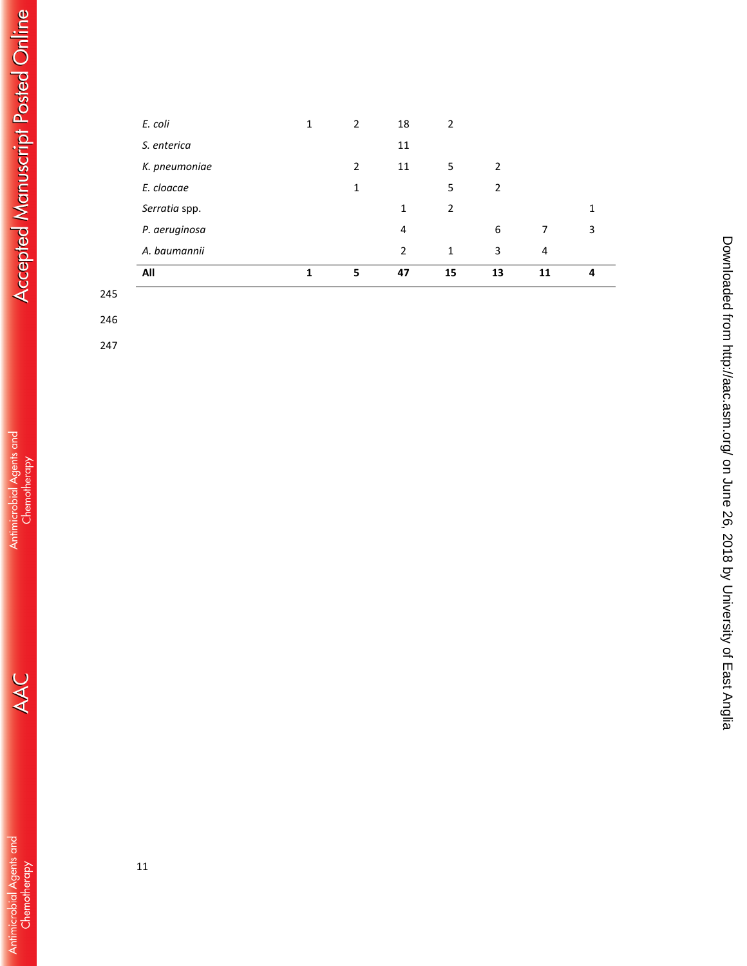| All           | 1 | 5              | 47 | 15             | 13 | 11 | 4 |
|---------------|---|----------------|----|----------------|----|----|---|
| A. baumannii  |   |                | 2  | $\mathbf{1}$   | 3  | 4  |   |
| P. aeruginosa |   |                | 4  |                | 6  | 7  | 3 |
| Serratia spp. |   |                | 1  | 2              |    |    | 1 |
| E. cloacae    |   | 1              |    | 5              | 2  |    |   |
| K. pneumoniae |   | $\overline{2}$ | 11 | 5              | 2  |    |   |
| S. enterica   |   |                | 11 |                |    |    |   |
| E. coli       | 1 | 2              | 18 | $\overline{2}$ |    |    |   |

## 245

246

247

**Accepted Manuscript Posted Online** 

Downloaded from http://aac.asm.org/ on June 26, 2018 by University of East Anglia on June 26, 2018 by University of East Anglia <http://aac.asm.org/> Downloaded from

 $\overline{\phantom{a}}$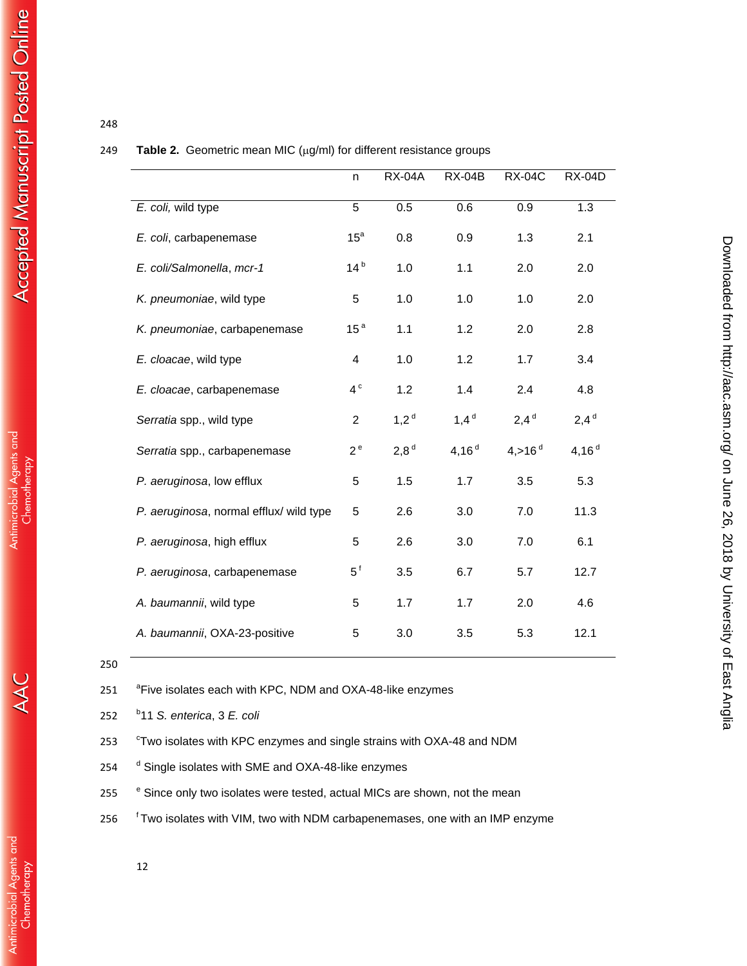## 248

### 249 **Table 2.** Geometric mean MIC (µg/ml) for different resistance groups

|                                         | n               | <b>RX-04A</b>    | <b>RX-04B</b> | <b>RX-04C</b>        | <b>RX-04D</b> |
|-----------------------------------------|-----------------|------------------|---------------|----------------------|---------------|
| E. coli, wild type                      | 5               | 0.5              | 0.6           | 0.9                  | 1.3           |
| E. coli, carbapenemase                  | 15 <sup>a</sup> | 0.8              | 0.9           | 1.3                  | 2.1           |
| E. coli/Salmonella, mcr-1               | 14 <sup>b</sup> | 1.0              | 1.1           | 2.0                  | 2.0           |
| K. pneumoniae, wild type                | 5               | 1.0              | 1.0           | 1.0                  | 2.0           |
| K. pneumoniae, carbapenemase            | 15 <sup>a</sup> | 1.1              | 1.2           | 2.0                  | 2.8           |
| E. cloacae, wild type                   | 4               | 1.0              | 1.2           | 1.7                  | 3.4           |
| E. cloacae, carbapenemase               | 4 <sup>c</sup>  | 1.2              | 1.4           | 2.4                  | 4.8           |
| Serratia spp., wild type                | $\overline{2}$  | $1,2^d$          | $1,4^d$       | $2,4^d$              | $2,4^d$       |
| Serratia spp., carbapenemase            | $2^e$           | 2,8 <sup>d</sup> | 4,16 $d$      | 4, > 16 <sup>d</sup> | 4,16 $d$      |
| P. aeruginosa, low efflux               | 5               | 1.5              | 1.7           | 3.5                  | 5.3           |
| P. aeruginosa, normal efflux/ wild type | 5               | 2.6              | 3.0           | 7.0                  | 11.3          |
| P. aeruginosa, high efflux              | 5               | 2.6              | 3.0           | 7.0                  | 6.1           |
| P. aeruginosa, carbapenemase            | $5^{\circ}$     | 3.5              | 6.7           | 5.7                  | 12.7          |
| A. baumannii, wild type                 | 5               | 1.7              | 1.7           | 2.0                  | 4.6           |
| A. baumannii, OXA-23-positive           | 5               | 3.0              | 3.5           | 5.3                  | 12.1          |

on June 26, 2018 by University of East Anglia <http://aac.asm.org/> Downloaded from

Downloaded from http://aac.asm.org/ on June 26, 2018 by University of East Anglia

251 <sup>a</sup> Five isolates each with KPC, NDM and OXA-48-like enzymes

b 252 11 *S. enterica*, 3 *E. coli*

253 <sup>c</sup>Two isolates with KPC enzymes and single strains with OXA-48 and NDM

254 <sup>d</sup> Single isolates with SME and OXA-48-like enzymes

255 <sup>e</sup> Since only two isolates were tested, actual MICs are shown, not the mean

<sup>f</sup> Two isolates with VIM, two with NDM carbapenemases, one with an IMP enzyme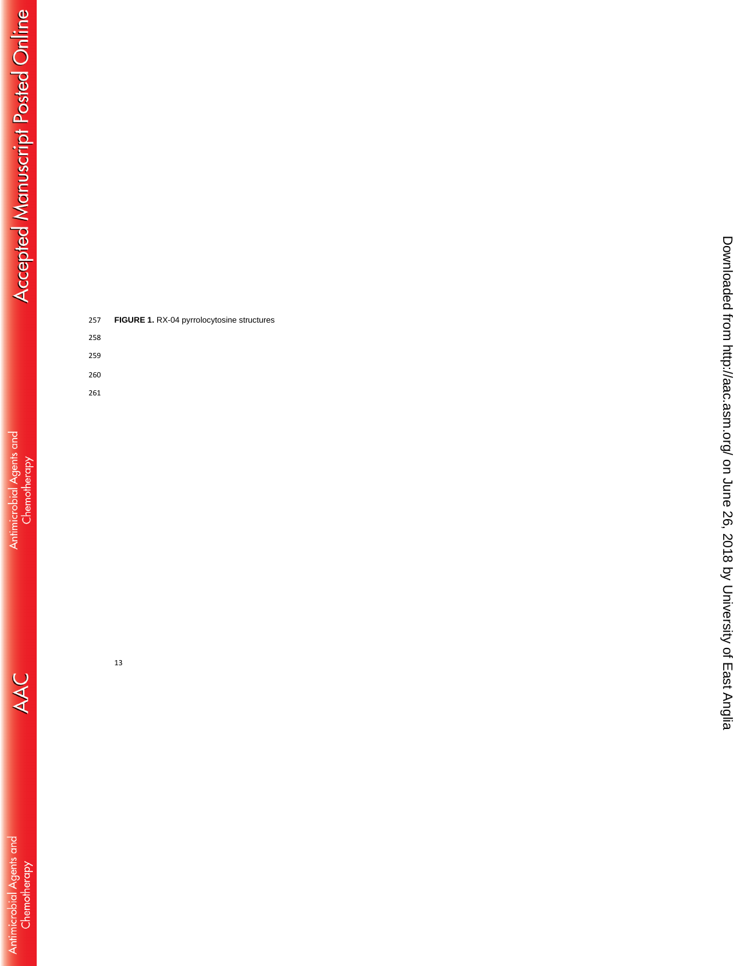| 257 | FIGURE 1. RX-04 pyrrolocytosine structures |
|-----|--------------------------------------------|
| 258 |                                            |
| 259 |                                            |

- 259 260
- 261

- 13
	- -
		- - -
- 
- 
- - -